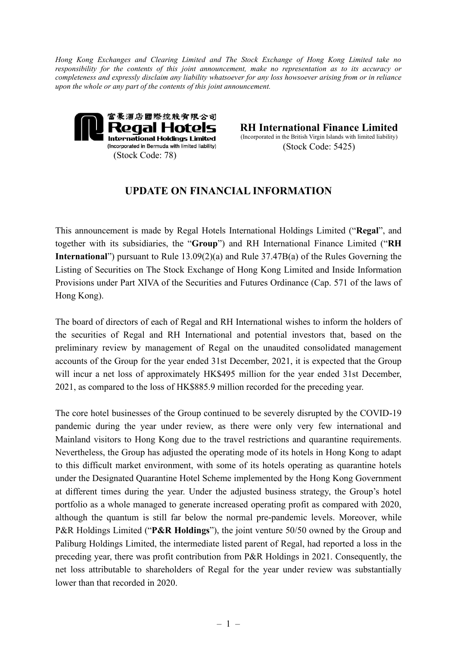*Hong Kong Exchanges and Clearing Limited and The Stock Exchange of Hong Kong Limited take no responsibility for the contents of this joint announcement, make no representation as to its accuracy or completeness and expressly disclaim any liability whatsoever for any loss howsoever arising from or in reliance upon the whole or any part of the contents of this joint announcement.*



**RH International Finance Limited** (Incorporated in the British Virgin Islands with limited liability) (Stock Code: 5425)

## **UPDATE ON FINANCIAL INFORMATION**

This announcement is made by Regal Hotels International Holdings Limited ("**Regal**", and together with its subsidiaries, the "**Group**") and RH International Finance Limited ("**RH International**") pursuant to Rule 13.09(2)(a) and Rule 37.47B(a) of the Rules Governing the Listing of Securities on The Stock Exchange of Hong Kong Limited and Inside Information Provisions under Part XIVA of the Securities and Futures Ordinance (Cap. 571 of the laws of Hong Kong).

The board of directors of each of Regal and RH International wishes to inform the holders of the securities of Regal and RH International and potential investors that, based on the preliminary review by management of Regal on the unaudited consolidated management accounts of the Group for the year ended 31st December, 2021, it is expected that the Group will incur a net loss of approximately HK\$495 million for the year ended 31st December, 2021, as compared to the loss of HK\$885.9 million recorded for the preceding year.

The core hotel businesses of the Group continued to be severely disrupted by the COVID-19 pandemic during the year under review, as there were only very few international and Mainland visitors to Hong Kong due to the travel restrictions and quarantine requirements. Nevertheless, the Group has adjusted the operating mode of its hotels in Hong Kong to adapt to this difficult market environment, with some of its hotels operating as quarantine hotels under the Designated Quarantine Hotel Scheme implemented by the Hong Kong Government at different times during the year. Under the adjusted business strategy, the Group's hotel portfolio as a whole managed to generate increased operating profit as compared with 2020, although the quantum is still far below the normal pre-pandemic levels. Moreover, while P&R Holdings Limited ("**P&R Holdings**"), the joint venture 50/50 owned by the Group and Paliburg Holdings Limited, the intermediate listed parent of Regal, had reported a loss in the preceding year, there was profit contribution from P&R Holdings in 2021. Consequently, the net loss attributable to shareholders of Regal for the year under review was substantially lower than that recorded in 2020.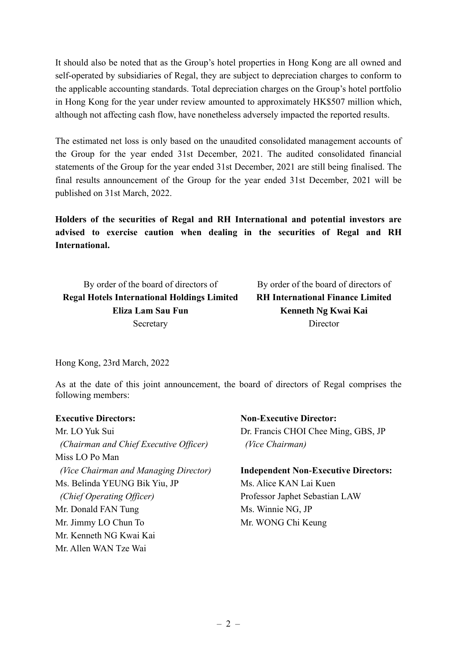It should also be noted that as the Group's hotel properties in Hong Kong are all owned and self-operated by subsidiaries of Regal, they are subject to depreciation charges to conform to the applicable accounting standards. Total depreciation charges on the Group's hotel portfolio in Hong Kong for the year under review amounted to approximately HK\$507 million which, although not affecting cash flow, have nonetheless adversely impacted the reported results.

The estimated net loss is only based on the unaudited consolidated management accounts of the Group for the year ended 31st December, 2021. The audited consolidated financial statements of the Group for the year ended 31st December, 2021 are still being finalised. The final results announcement of the Group for the year ended 31st December, 2021 will be published on 31st March, 2022.

**Holders of the securities of Regal and RH International and potential investors are advised to exercise caution when dealing in the securities of Regal and RH International.**

By order of the board of directors of By order of the board of directors of **Regal Hotels International Holdings Limited RH International Finance Limited Eliza Lam Sau Fun Kenneth Ng Kwai Kai** Secretary Director

Hong Kong, 23rd March, 2022

As at the date of this joint announcement, the board of directors of Regal comprises the following members:

| <b>Executive Directors:</b>            | <b>Non-Executive Director:</b>              |
|----------------------------------------|---------------------------------------------|
| Mr. LO Yuk Sui                         | Dr. Francis CHOI Chee Ming, GBS, JP         |
| (Chairman and Chief Executive Officer) | (Vice Chairman)                             |
| Miss LO Po Man                         |                                             |
| (Vice Chairman and Managing Director)  | <b>Independent Non-Executive Directors:</b> |
| Ms. Belinda YEUNG Bik Yiu, JP          | Ms. Alice KAN Lai Kuen                      |
| (Chief Operating Officer)              | Professor Japhet Sebastian LAW              |
| Mr. Donald FAN Tung                    | Ms. Winnie NG, JP                           |
| Mr. Jimmy LO Chun To                   | Mr. WONG Chi Keung                          |
| Mr. Kenneth NG Kwai Kai                |                                             |
| Mr. Allen WAN Tze Wai                  |                                             |